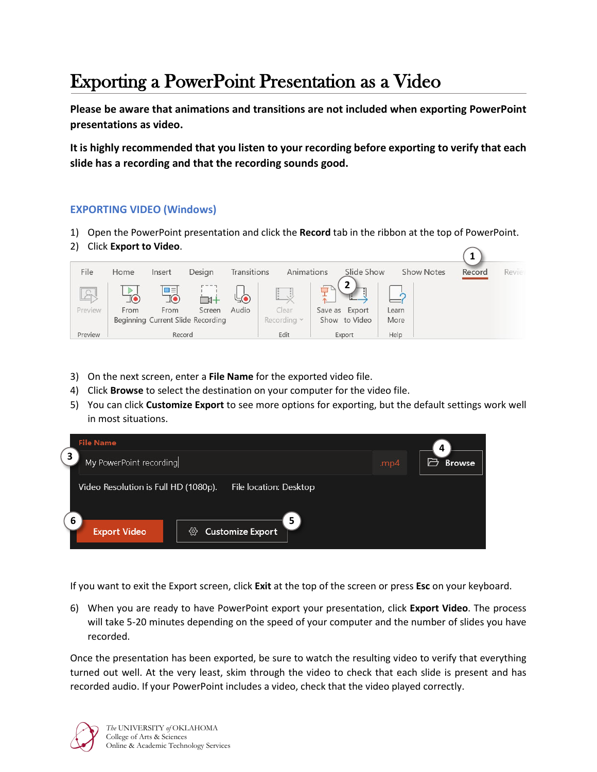## Exporting a PowerPoint Presentation as a Video

**Please be aware that animations and transitions are not included when exporting PowerPoint presentations as video.**

**It is highly recommended that you listen to your recording before exporting to verify that each slide has a recording and that the recording sounds good.**

## **EXPORTING VIDEO (Windows)**

- 1) Open the PowerPoint presentation and click the **Record** tab in the ribbon at the top of PowerPoint.
- 2) Click **Export to Video**.



- 3) On the next screen, enter a **File Name** for the exported video file.
- 4) Click **Browse** to select the destination on your computer for the video file.
- 5) You can click **Customize Export** to see more options for exporting, but the default settings work well in most situations.



If you want to exit the Export screen, click **Exit** at the top of the screen or press **Esc** on your keyboard.

6) When you are ready to have PowerPoint export your presentation, click **Export Video**. The process will take 5-20 minutes depending on the speed of your computer and the number of slides you have recorded.

Once the presentation has been exported, be sure to watch the resulting video to verify that everything turned out well. At the very least, skim through the video to check that each slide is present and has recorded audio. If your PowerPoint includes a video, check that the video played correctly.